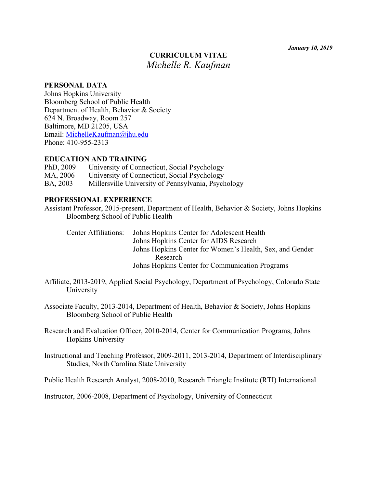# **CURRICULUM VITAE**  *Michelle R. Kaufman*

#### **PERSONAL DATA**

Johns Hopkins University Bloomberg School of Public Health Department of Health, Behavior & Society 624 N. Broadway, Room 257 Baltimore, MD 21205, USA Email: MichelleKaufman@jhu.edu Phone: 410-955-2313

#### **EDUCATION AND TRAINING**

| PhD, 2009 | University of Connecticut, Social Psychology        |
|-----------|-----------------------------------------------------|
| MA, 2006  | University of Connecticut, Social Psychology        |
| BA, 2003  | Millersville University of Pennsylvania, Psychology |

# **PROFESSIONAL EXPERIENCE**

Assistant Professor, 2015-present, Department of Health, Behavior & Society, Johns Hopkins Bloomberg School of Public Health

|  | Center Affiliations: Johns Hopkins Center for Adolescent Health |
|--|-----------------------------------------------------------------|
|  | Johns Hopkins Center for AIDS Research                          |
|  | Johns Hopkins Center for Women's Health, Sex, and Gender        |
|  | Research                                                        |
|  | Johns Hopkins Center for Communication Programs                 |

Affiliate, 2013-2019, Applied Social Psychology, Department of Psychology, Colorado State University

Associate Faculty, 2013-2014, Department of Health, Behavior & Society, Johns Hopkins Bloomberg School of Public Health

Research and Evaluation Officer, 2010-2014, Center for Communication Programs, Johns Hopkins University

Instructional and Teaching Professor, 2009-2011, 2013-2014, Department of Interdisciplinary Studies, North Carolina State University

Public Health Research Analyst, 2008-2010, Research Triangle Institute (RTI) International

Instructor, 2006-2008, Department of Psychology, University of Connecticut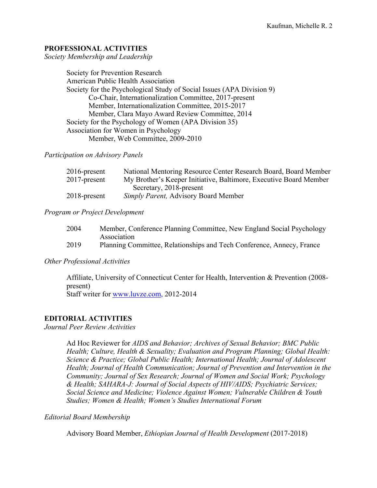# **PROFESSIONAL ACTIVITIES**

*Society Membership and Leadership* 

Society for Prevention Research American Public Health Association Society for the Psychological Study of Social Issues (APA Division 9) Co-Chair, Internationalization Committee, 2017-present Member, Internationalization Committee, 2015-2017 Member, Clara Mayo Award Review Committee, 2014 Society for the Psychology of Women (APA Division 35) Association for Women in Psychology Member, Web Committee, 2009-2010

*Participation on Advisory Panels*

| $2016$ -present | National Mentoring Resource Center Research Board, Board Member   |
|-----------------|-------------------------------------------------------------------|
| $2017$ -present | My Brother's Keeper Initiative, Baltimore, Executive Board Member |
|                 | Secretary, 2018-present                                           |
| $2018$ -present | <i>Simply Parent, Advisory Board Member</i>                       |

#### *Program or Project Development*

| 2004 | Member, Conference Planning Committee, New England Social Psychology  |
|------|-----------------------------------------------------------------------|
|      | Association                                                           |
| 2019 | Planning Committee, Relationships and Tech Conference, Annecy, France |

### *Other Professional Activities*

Affiliate, University of Connecticut Center for Health, Intervention & Prevention (2008 present) Staff writer for www.luvze.com, 2012-2014

### **EDITORIAL ACTIVITIES**

*Journal Peer Review Activities* 

Ad Hoc Reviewer for *AIDS and Behavior; Archives of Sexual Behavior; BMC Public Health; Culture, Health & Sexuality; Evaluation and Program Planning; Global Health: Science & Practice; Global Public Health; International Health; Journal of Adolescent Health; Journal of Health Communication; Journal of Prevention and Intervention in the Community; Journal of Sex Research; Journal of Women and Social Work; Psychology & Health; SAHARA-J: Journal of Social Aspects of HIV/AIDS; Psychiatric Services; Social Science and Medicine; Violence Against Women; Vulnerable Children & Youth Studies; Women & Health; Women's Studies International Forum*

#### *Editorial Board Membership*

Advisory Board Member, *Ethiopian Journal of Health Development* (2017-2018)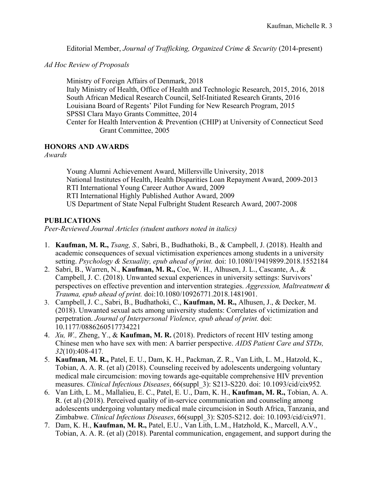Editorial Member, *Journal of Trafficking, Organized Crime & Security* (2014-present)

*Ad Hoc Review of Proposals* 

Ministry of Foreign Affairs of Denmark, 2018 Italy Ministry of Health, Office of Health and Technologic Research, 2015, 2016, 2018 South African Medical Research Council, Self-Initiated Research Grants, 2016 Louisiana Board of Regents' Pilot Funding for New Research Program, 2015 SPSSI Clara Mayo Grants Committee, 2014 Center for Health Intervention & Prevention (CHIP) at University of Connecticut Seed Grant Committee, 2005

# **HONORS AND AWARDS**

*Awards* 

Young Alumni Achievement Award, Millersville University, 2018 National Institutes of Health, Health Disparities Loan Repayment Award, 2009-2013 RTI International Young Career Author Award, 2009 RTI International Highly Published Author Award, 2009 US Department of State Nepal Fulbright Student Research Award, 2007-2008

# **PUBLICATIONS**

*Peer-Reviewed Journal Articles (student authors noted in italics)*

- 1. **Kaufman, M. R.,** *Tsang, S.,* Sabri, B., Budhathoki, B., & Campbell, J. (2018). Health and academic consequences of sexual victimisation experiences among students in a university setting. *Psychology & Sexuality, epub ahead of print.* doi: 10.1080/19419899.2018.1552184
- 2. Sabri, B., Warren, N., **Kaufman, M. R.,** Coe, W. H., Alhusen, J. L., Cascante, A., & Campbell, J. C. (2018). Unwanted sexual experiences in university settings: Survivors' perspectives on effective prevention and intervention strategies. *Aggression, Maltreatment & Trauma, epub ahead of print.* doi:10.1080/10926771.2018.1481901.
- 3. Campbell, J. C., Sabri, B., Budhathoki, C., **Kaufman, M. R.,** Alhusen, J., & Decker, M. (2018). Unwanted sexual acts among university students: Correlates of victimization and perpetration. *Journal of Interpersonal Violence, epub ahead of print.* doi: 10.1177/0886260517734221
- 4. *Xu, W.,* Zheng, Y., & **Kaufman, M. R.** (2018). Predictors of recent HIV testing among Chinese men who have sex with men: A barrier perspective. *AIDS Patient Care and STDs, 32*(10):408-417*.*
- 5. **Kaufman, M. R.,** Patel, E. U., Dam, K. H., Packman, Z. R., Van Lith, L. M., Hatzold, K., Tobian, A. A. R. (et al) (2018). Counseling received by adolescents undergoing voluntary medical male circumcision: moving towards age-equitable comprehensive HIV prevention measures. *Clinical Infectious Diseases*, 66(suppl\_3): S213-S220. doi: 10.1093/cid/cix952*.*
- 6. Van Lith, L. M., Mallalieu, E. C., Patel, E. U., Dam, K. H., **Kaufman, M. R.,** Tobian, A. A. R. (et al) (2018). Perceived quality of in-service communication and counseling among adolescents undergoing voluntary medical male circumcision in South Africa, Tanzania, and Zimbabwe. *Clinical Infectious Diseases*, 66(suppl\_3): S205-S212. doi: 10.1093/cid/cix971.
- 7. Dam, K. H., **Kaufman, M. R.,** Patel, E.U., Van Lith, L.M., Hatzhold, K., Marcell, A.V., Tobian, A. A. R. (et al) (2018). Parental communication, engagement, and support during the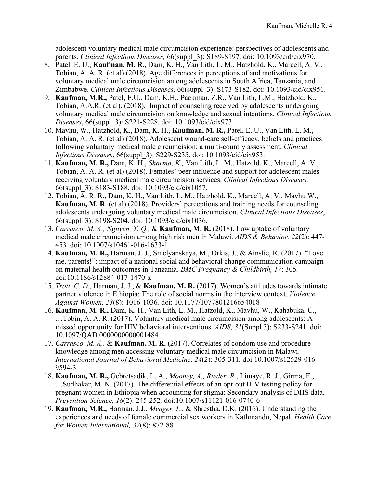adolescent voluntary medical male circumcision experience: perspectives of adolescents and parents. *Clinical Infectious Diseases,* 66(suppl\_3): S189-S197. doi: 10.1093/cid/cix970.

- 8. Patel, E. U., **Kaufman, M. R.,** Dam, K. H., Van Lith, L. M., Hatzhold, K., Marcell, A. V., Tobian, A. A. R. (et al) (2018). Age differences in perceptions of and motivations for voluntary medical male circumcision among adolescents in South Africa, Tanzania, and Zimbabwe. *Clinical Infectious Diseases,* 66(suppl\_3): S173-S182. doi: 10.1093/cid/cix951.
- 9. **Kaufman, M.R.,** Patel, E.U., Dam, K.H., Packman, Z.R., Van Lith, L.M., Hatzhold, K., Tobian, A.A.R. (et al). (2018). Impact of counseling received by adolescents undergoing voluntary medical male circumcision on knowledge and sexual intentions. *Clinical Infectious Diseases*, 66(suppl\_3): S221-S228. doi: 10.1093/cid/cix973.
- 10. Mavhu, W., Hatzhold, K., Dam, K. H., **Kaufman, M. R.,** Patel, E. U., Van Lith, L. M., Tobian, A. A. R. (et al) (2018). Adolescent wound-care self-efficacy, beliefs and practices following voluntary medical male circumcision: a multi-country assessment. *Clinical Infectious Diseases*, 66(suppl\_3): S229-S235. doi: 10.1093/cid/cix953.
- 11. **Kaufman, M. R.,** Dam, K. H., *Sharma, K.,* Van Lith, L. M., Hatzold, K., Marcell, A. V., Tobian, A. A. R. (et al) (2018). Females' peer influence and support for adolescent males receiving voluntary medical male circumcision services. *Clinical Infectious Diseases,* 66(suppl\_3): S183-S188. doi: 10.1093/cid/cix1057.
- 12. Tobian, A. R. R., Dam, K. H., Van Lith, L. M., Hatzhold, K., Marcell, A. V., Mavhu W., **Kaufman, M. R**. (et al) (2018). Providers' perceptions and training needs for counseling adolescents undergoing voluntary medical male circumcision. *Clinical Infectious Diseases*, 66(suppl\_3): S198-S204. doi: 10.1093/cid/cix1036.
- 13. *Carrasco, M. A., Nguyen, T. Q.,* & **Kaufman, M. R.** (2018). Low uptake of voluntary medical male circumcision among high risk men in Malawi. *AIDS & Behavior, 22*(2): 447- 453*.* doi: 10.1007/s10461-016-1633-1
- 14. **Kaufman, M. R.,** Harman, J. J., Smelyanskaya, M., Orkis, J., & Ainslie, R. (2017). "Love me, parents!": impact of a national social and behavioral change communication campaign on maternal health outcomes in Tanzania. *BMC Pregnancy & Childbirth, 17*: 305*.*  doi:10.1186/s12884-017-1470-x
- 15. *Trott, C. D.,* Harman, J. J., & **Kaufman, M. R.** (2017). Women's attitudes towards intimate partner violence in Ethiopia: The role of social norms in the interview context. *Violence Against Women, 23*(8): 1016-1036*.* doi: 10.1177/1077801216654018
- 16. **Kaufman, M. R.,** Dam, K. H., Van Lith, L. M., Hatzold, K., Mavhu, W., Kahabuka, C., …Tobin, A. A. R. (2017). Voluntary medical male circumcision among adolescents: A missed opportunity for HIV behavioral interventions. *AIDS, 31*(Suppl 3): S233-S241. doi: 10.1097/QAD.0000000000001484
- 17. *Carrasco, M. A.,* & **Kaufman, M. R.** (2017). Correlates of condom use and procedure knowledge among men accessing voluntary medical male circumcision in Malawi. *International Journal of Behavioral Medicine, 24*(2): 305-311*.* doi:10.1007/s12529-016- 9594-3
- 18. **Kaufman, M. R.,** Gebretsadik, L. A., *Mooney, A., Rieder, R.*, Limaye, R. J., Girma, E., …Sudhakar, M. N. (2017). The differential effects of an opt-out HIV testing policy for pregnant women in Ethiopia when accounting for stigma: Secondary analysis of DHS data. *Prevention Science, 18*(2): 245-252*.* doi:10.1007/s11121-016-0740-6
- 19. **Kaufman, M.R.,** Harman, J.J., *Menger, L*., & Shrestha, D.K. (2016). Understanding the experiences and needs of female commercial sex workers in Kathmandu, Nepal. *Health Care for Women International, 37*(8): 872-88*.*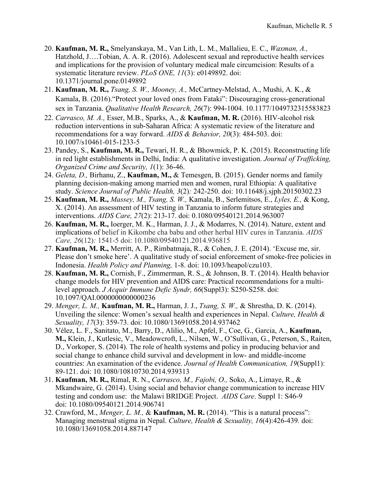- 20. **Kaufman, M. R.,** Smelyanskaya, M., Van Lith, L. M., Mallalieu, E. C., *Waxman, A.,* Hatzhold, J….Tobian, A. A. R. (2016). Adolescent sexual and reproductive health services and implications for the provision of voluntary medical male circumcision: Results of a systematic literature review. *PLoS ONE, 11*(3): e0149892. doi: 10.1371/journal.pone.0149892
- 21. **Kaufman, M. R.,** *Tsang, S. W., Mooney, A.,* McCartney-Melstad, A., Mushi, A. K., & Kamala, B. (2016)."Protect your loved ones from Fataki": Discouraging cross-generational sex in Tanzania. *Qualitative Health Research, 26*(7): 994-1004. 10.1177/1049732315583823
- 22. *Carrasco, M. A.,* Esser, M.B., Sparks, A., & **Kaufman, M. R.** (2016). HIV-alcohol risk reduction interventions in sub-Saharan Africa: A systematic review of the literature and recommendations for a way forward. *AIDS & Behavior, 20*(3): 484-503. doi: 10.1007/s10461-015-1233-5
- 23. Pandey, S., **Kaufman, M. R.,** Tewari, H. R., & Bhowmick, P. K. (2015). Reconstructing life in red light establishments in Delhi, India: A qualitative investigation. *Journal of Trafficking, Organized Crime and Security, 1*(1): 36-46.
- 24. *Geleta, D.,* Birhanu, Z., **Kaufman, M.,** & Temesgen, B. (2015). Gender norms and family planning decision-making among married men and women, rural Ethiopia: A qualitative study. *Science Journal of Public Health, 3*(2)*:* 242-250. doi: 10.11648/j.sjph.20150302.23
- 25. **Kaufman, M. R.,** *Massey, M., Tsang, S. W.,* Kamala, B., Serlemitsos, E., *Lyles, E.,* & Kong, X. (2014). An assessment of HIV testing in Tanzania to inform future strategies and interventions. *AIDS Care, 27*(2): 213-17. doi: 0.1080/09540121.2014.963007
- 26. **Kaufman, M. R.,** Ioerger, M. K., Harman, J. J., & Modarres, N. (2014). Nature, extent and implications of belief in Kikombe cha babu and other herbal HIV cures in Tanzania. *AIDS Care, 26*(12)*:* 1541-5 doi: 10.1080/09540121.2014.936815
- 27. **Kaufman, M. R.,** Merritt, A. P., Rimbatmaja, R., & Cohen, J. E. (2014). 'Excuse me, sir. Please don't smoke here'. A qualitative study of social enforcement of smoke-free policies in Indonesia. *Health Policy and Planning,* 1-8. doi: 10.1093/heapol/czu103.
- 28. **Kaufman, M. R.,** Cornish, F., Zimmerman, R. S., & Johnson, B. T. (2014). Health behavior change models for HIV prevention and AIDS care: Practical recommendations for a multilevel approach. *J Acquir Immune Defic Syndr, 66*(Suppl3): S250-S258. doi: 10.1097/QAI.0000000000000236
- 29. *Menger, L. M.,* **Kaufman, M. R.,** Harman, J. J., *Tsang, S. W.,* & Shrestha, D. K. (2014). Unveiling the silence: Women's sexual health and experiences in Nepal. *Culture, Health & Sexuality, 17*(3): 359-73. doi: 10.1080/13691058.2014.937462
- 30. Vélez, L. F., Sanitato, M., Barry, D., Alilio, M., Apfel, F., Coe, G., Garcia, A., **Kaufman, M.,** Klein, J., Kutlesic, V., Meadowcroft, L., Nilsen, W., O'Sullivan, G., Peterson, S., Raiten, D., Vorkoper, S. (2014). The role of health systems and policy in producing behavior and social change to enhance child survival and development in low- and middle-income countries: An examination of the evidence. *Journal of Health Communication, 19*(Suppl1): 89-121. doi: 10.1080/10810730.2014.939313
- 31. **Kaufman, M. R.,** Rimal, R. N., *Carrasco, M., Fajobi, O.,* Soko, A., Limaye, R., & Mkandwaire, G. (2014). Using social and behavior change communication to increase HIV testing and condom use: the Malawi BRIDGE Project. *AIDS Care*. Suppl 1: S46-9 doi: 10.1080/09540121.2014.906741
- 32. Crawford, M., *Menger, L. M.,* & **Kaufman, M. R.** (2014). "This is a natural process": Managing menstrual stigma in Nepal. *Culture, Health & Sexuality, 16*(4):426-439*.* doi: 10.1080/13691058.2014.887147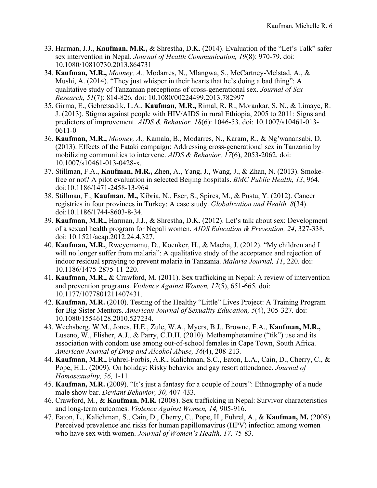- 33. Harman, J.J., **Kaufman, M.R.,** & Shrestha, D.K. (2014). Evaluation of the "Let's Talk" safer sex intervention in Nepal. *Journal of Health Communication, 19*(8): 970-79. doi: 10.1080/10810730.2013.864731
- 34. **Kaufman, M.R.,** *Mooney, A.,* Modarres, N., Mlangwa, S., McCartney-Melstad, A., & Mushi, A. (2014). "They just whisper in their hearts that he's doing a bad thing": A qualitative study of Tanzanian perceptions of cross-generational sex. *Journal of Sex Research, 51*(7): 814-826*.* doi: 10.1080/00224499.2013.782997
- 35. Girma, E., Gebretsadik, L.A., **Kaufman, M.R.,** Rimal, R. R., Morankar, S. N., & Limaye, R. J. (2013). Stigma against people with HIV/AIDS in rural Ethiopia, 2005 to 2011: Signs and predictors of improvement. *AIDS & Behavior, 18*(6): 1046-53. doi: 10.1007/s10461-013- 0611-0
- 36. **Kaufman, M.R.,** *Mooney, A.,* Kamala, B., Modarres, N., Karam, R., & Ng'wanansabi, D. (2013). Effects of the Fataki campaign: Addressing cross-generational sex in Tanzania by mobilizing communities to intervene. *AIDS & Behavior, 17*(6), 2053-2062*.* doi: 10.1007/s10461-013-0428-x.
- 37. Stillman, F.A., **Kaufman, M.R.,** Zhen, A., Yang, J., Wang, J., & Zhan, N. (2013). Smokefree or not? A pilot evaluation in selected Beijing hospitals. *BMC Public Health, 13*, 964*.* doi:10.1186/1471-2458-13-964
- 38. Stillman, F., **Kaufman, M.,** Kibria, N., Eser, S., Spires, M., & Pustu, Y. (2012). Cancer registries in four provinces in Turkey: A case study. *Globalization and Health, 8*(34). doi:10.1186/1744-8603-8-34.
- 39. **Kaufman, M.R.,** Harman, J.J., & Shrestha, D.K. (2012). Let's talk about sex: Development of a sexual health program for Nepali women. *AIDS Education & Prevention, 24*, 327-338. doi: 10.1521/aeap.2012.24.4.327.
- 40. **Kaufman, M.R.**, Rweyemamu, D., Koenker, H., & Macha, J. (2012). "My children and I will no longer suffer from malaria": A qualitative study of the acceptance and rejection of indoor residual spraying to prevent malaria in Tanzania. *Malaria Journal, 11*, 220. doi: 10.1186/1475-2875-11-220.
- 41. **Kaufman, M.R.,** & Crawford, M. (2011). Sex trafficking in Nepal: A review of intervention and prevention programs. *Violence Against Women, 17*(5), 651-665*.* doi: 10.1177/1077801211407431.
- 42. **Kaufman, M.R.** (2010). Testing of the Healthy "Little" Lives Project: A Training Program for Big Sister Mentors. *American Journal of Sexuality Education, 5*(4), 305-327*.* doi: 10.1080/15546128.2010.527234.
- 43. Wechsberg, W.M., Jones, H.E., Zule, W.A., Myers, B.J., Browne, F.A., **Kaufman, M.R.,** Luseno, W., Flisher, A.J., & Parry, C.D.H. (2010). Methamphetamine ("tik") use and its association with condom use among out-of-school females in Cape Town, South Africa. *American Journal of Drug and Alcohol Abuse, 36*(4), 208-213*.*
- 44. **Kaufman, M.R.,** Fuhrel-Forbis, A.R., Kalichman, S.C., Eaton, L.A., Cain, D., Cherry, C., & Pope, H.L. (2009). On holiday: Risky behavior and gay resort attendance. *Journal of Homosexuality, 56,* 1-11.
- 45. **Kaufman, M.R.** (2009). "It's just a fantasy for a couple of hours": Ethnography of a nude male show bar. *Deviant Behavior, 30,* 407-433.
- 46. Crawford, M., & **Kaufman, M.R.** (2008). Sex trafficking in Nepal: Survivor characteristics and long-term outcomes. *Violence Against Women, 14,* 905-916.
- 47. Eaton, L., Kalichman, S., Cain, D., Cherry, C., Pope, H., Fuhrel, A., & **Kaufman, M.** (2008). Perceived prevalence and risks for human papillomavirus (HPV) infection among women who have sex with women. *Journal of Women's Health, 17,* 75-83.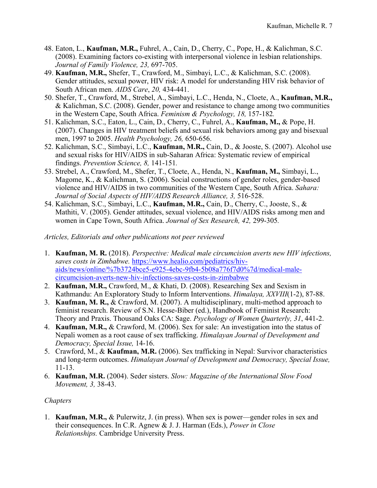- 48. Eaton, L., **Kaufman, M.R.,** Fuhrel, A., Cain, D., Cherry, C., Pope, H., & Kalichman, S.C. (2008). Examining factors co-existing with interpersonal violence in lesbian relationships. *Journal of Family Violence, 23,* 697-705.
- 49. **Kaufman, M.R.,** Shefer, T., Crawford, M., Simbayi, L.C., & Kalichman, S.C. (2008). Gender attitudes, sexual power, HIV risk: A model for understanding HIV risk behavior of South African men. *AIDS Care*, *20,* 434-441.
- 50. Shefer, T., Crawford, M., Strebel, A., Simbayi, L.C., Henda, N., Cloete, A., **Kaufman, M.R.,** & Kalichman, S.C. (2008). Gender, power and resistance to change among two communities in the Western Cape, South Africa. *Feminism & Psychology, 18,* 157-182*.*
- 51. Kalichman, S.C., Eaton, L., Cain, D., Cherry, C., Fuhrel, A., **Kaufman, M.,** & Pope, H. (2007). Changes in HIV treatment beliefs and sexual risk behaviors among gay and bisexual men, 1997 to 2005. *Health Psychology, 26,* 650-656.
- 52. Kalichman, S.C., Simbayi, L.C., **Kaufman, M.R.,** Cain, D., & Jooste, S. (2007). Alcohol use and sexual risks for HIV/AIDS in sub-Saharan Africa: Systematic review of empirical findings. *Prevention Science, 8,* 141-151*.*
- 53. Strebel, A., Crawford, M., Shefer, T., Cloete, A., Henda, N., **Kaufman, M.,** Simbayi, L., Magome, K., & Kalichman, S. (2006). Social constructions of gender roles, gender-based violence and HIV/AIDS in two communities of the Western Cape, South Africa. *Sahara: Journal of Social Aspects of HIV/AIDS Research Alliance, 3,* 516-528.
- 54. Kalichman, S.C., Simbayi, L.C., **Kaufman, M.R.,** Cain, D., Cherry, C., Jooste, S., & Mathiti, V. (2005). Gender attitudes, sexual violence, and HIV/AIDS risks among men and women in Cape Town, South Africa. *Journal of Sex Research, 42,* 299-305*.*

# *Articles, Editorials and other publications not peer reviewed*

- 1. **Kaufman, M. R.** (2018). *Perspective: Medical male circumcision averts new HIV infections, saves costs in Zimbabwe.* https://www.healio.com/pediatrics/hivaids/news/online/%7b3724bce5-e925-4ebc-9fb4-5b08a776f7d0%7d/medical-malecircumcision-averts-new-hiv-infections-saves-costs-in-zimbabwe
- 2. **Kaufman, M.R.,** Crawford, M., & Khati, D. (2008). Researching Sex and Sexism in Kathmandu: An Exploratory Study to Inform Interventions. *Himalaya, XXVIII*(1-2), 87-88.
- 3. **Kaufman, M. R.,** & Crawford, M. (2007). A multidisciplinary, multi-method approach to feminist research. Review of S.N. Hesse-Biber (ed.), Handbook of Feminist Research: Theory and Praxis. Thousand Oaks CA: Sage. *Psychology of Women Quarterly, 31*, 441-2.
- 4. **Kaufman, M.R.,** & Crawford, M. (2006). Sex for sale: An investigation into the status of Nepali women as a root cause of sex trafficking. *Himalayan Journal of Development and Democracy, Special Issue,* 14-16.
- 5. Crawford, M., & **Kaufman, M.R.** (2006). Sex trafficking in Nepal: Survivor characteristics and long-term outcomes. *Himalayan Journal of Development and Democracy, Special Issue,*  11-13.
- 6. **Kaufman, M.R.** (2004). Seder sisters. *Slow: Magazine of the International Slow Food Movement, 3,* 38-43.

# *Chapters*

1. **Kaufman, M.R.,** & Pulerwitz, J. (in press). When sex is power—gender roles in sex and their consequences. In C.R. Agnew & J. J. Harman (Eds.), *Power in Close Relationships.* Cambridge University Press.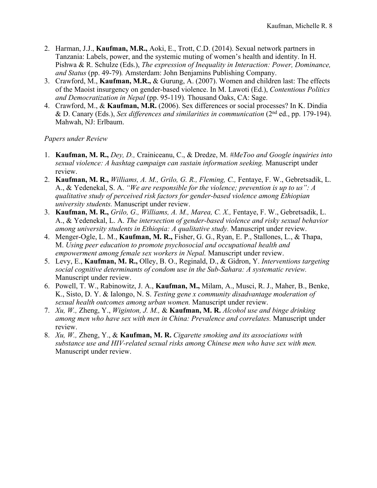- 2. Harman, J.J., **Kaufman, M.R.,** Aoki, E., Trott, C.D. (2014). Sexual network partners in Tanzania: Labels, power, and the systemic muting of women's health and identity. In H. Pishwa & R. Schulze (Eds.), *The expression of Inequality in Interaction: Power, Dominance, and Status* (pp. 49-79)*.* Amsterdam: John Benjamins Publishing Company.
- 3. Crawford, M., **Kaufman, M.R.,** & Gurung, A. (2007). Women and children last: The effects of the Maoist insurgency on gender-based violence. In M. Lawoti (Ed.), *Contentious Politics and Democratization in Nepal* (pp. 95-119)*.* Thousand Oaks, CA: Sage.
- 4. Crawford, M., & **Kaufman, M.R.** (2006). Sex differences or social processes? In K. Dindia & D. Canary (Eds.), *Sex differences and similarities in communication* (2nd ed., pp. 179-194). Mahwah, NJ: Erlbaum.

### *Papers under Review*

- 1. **Kaufman, M. R.,** *Dey, D.,* Crainiceanu, C., & Dredze, M. *#MeToo and Google inquiries into sexual violence: A hashtag campaign can sustain information seeking.* Manuscript under review.
- 2. **Kaufman, M. R.,** *Williams, A. M., Grilo, G. R., Fleming, C.,* Fentaye, F. W., Gebretsadik, L. A., & Yedenekal, S. A. *"We are responsible for the violence; prevention is up to us": A qualitative study of perceived risk factors for gender-based violence among Ethiopian university students.* Manuscript under review.
- 3. **Kaufman, M. R.,** *Grilo, G., Williams, A. M., Marea, C. X.,* Fentaye, F. W., Gebretsadik, L. A., & Yedenekal, L. A. *The intersection of gender-based violence and risky sexual behavior among university students in Ethiopia: A qualitative study.* Manuscript under review.
- 4. Menger-Ogle, L. M., **Kaufman, M. R.,** Fisher, G. G., Ryan, E. P., Stallones, L., & Thapa, M. *Using peer education to promote psychosocial and occupational health and empowerment among female sex workers in Nepal.* Manuscript under review.
- 5. Levy, E., **Kaufman, M. R.,** Olley, B. O., Reginald, D., & Gidron, Y. *Interventions targeting social cognitive determinants of condom use in the Sub-Sahara: A systematic review.*  Manuscript under review.
- 6. Powell, T. W., Rabinowitz, J. A., **Kaufman, M.,** Milam, A., Musci, R. J., Maher, B., Benke, K., Sisto, D. Y. & Ialongo, N. S. *Testing gene x community disadvantage moderation of sexual health outcomes among urban women.* Manuscript under review.
- 7. *Xu, W.,* Zheng, Y., *Wiginton, J. M.,* & **Kaufman, M. R.** *Alcohol use and binge drinking among men who have sex with men in China: Prevalence and correlates.* Manuscript under review.
- 8. *Xu, W.,* Zheng, Y., & **Kaufman, M. R.** *Cigarette smoking and its associations with substance use and HIV-related sexual risks among Chinese men who have sex with men.*  Manuscript under review.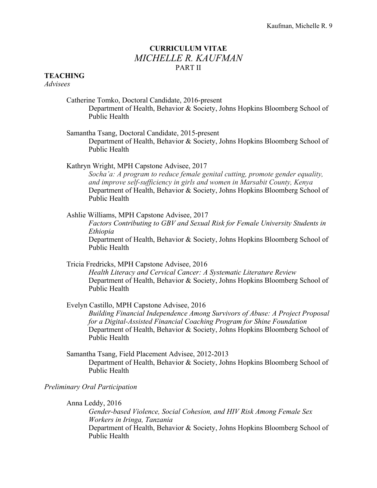# **CURRICULUM VITAE**  *MICHELLE R. KAUFMAN* PART II

# **TEACHING**

*Advisees*

- Catherine Tomko, Doctoral Candidate, 2016-present Department of Health, Behavior & Society, Johns Hopkins Bloomberg School of Public Health
- Samantha Tsang, Doctoral Candidate, 2015-present Department of Health, Behavior & Society, Johns Hopkins Bloomberg School of Public Health

Kathryn Wright, MPH Capstone Advisee, 2017 *Socha'a: A program to reduce female genital cutting, promote gender equality, and improve self-sufficiency in girls and women in Marsabit County, Kenya* Department of Health, Behavior & Society, Johns Hopkins Bloomberg School of Public Health

- Ashlie Williams, MPH Capstone Advisee, 2017 *Factors Contributing to GBV and Sexual Risk for Female University Students in Ethiopia* Department of Health, Behavior & Society, Johns Hopkins Bloomberg School of Public Health
- Tricia Fredricks, MPH Capstone Advisee, 2016 *Health Literacy and Cervical Cancer: A Systematic Literature Review* Department of Health, Behavior & Society, Johns Hopkins Bloomberg School of Public Health
- Evelyn Castillo, MPH Capstone Advisee, 2016 *Building Financial Independence Among Survivors of Abuse: A Project Proposal for a Digital-Assisted Financial Coaching Program for Shine Foundation* Department of Health, Behavior & Society, Johns Hopkins Bloomberg School of Public Health
- Samantha Tsang, Field Placement Advisee, 2012-2013 Department of Health, Behavior & Society, Johns Hopkins Bloomberg School of Public Health

### *Preliminary Oral Participation*

Anna Leddy, 2016

*Gender-based Violence, Social Cohesion, and HIV Risk Among Female Sex Workers in Iringa, Tanzania* Department of Health, Behavior & Society, Johns Hopkins Bloomberg School of Public Health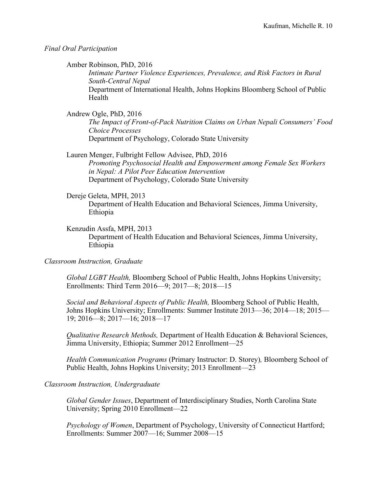*Final Oral Participation*

Amber Robinson, PhD, 2016

*Intimate Partner Violence Experiences, Prevalence, and Risk Factors in Rural South-Central Nepal* Department of International Health, Johns Hopkins Bloomberg School of Public Health

Andrew Ogle, PhD, 2016

*The Impact of Front-of-Pack Nutrition Claims on Urban Nepali Consumers' Food Choice Processes* Department of Psychology, Colorado State University

Lauren Menger, Fulbright Fellow Advisee, PhD, 2016 *Promoting Psychosocial Health and Empowerment among Female Sex Workers in Nepal: A Pilot Peer Education Intervention* Department of Psychology, Colorado State University

Dereje Geleta, MPH, 2013 Department of Health Education and Behavioral Sciences, Jimma University, Ethiopia

Kenzudin Assfa, MPH, 2013

Department of Health Education and Behavioral Sciences, Jimma University, Ethiopia

*Classroom Instruction, Graduate*

*Global LGBT Health,* Bloomberg School of Public Health, Johns Hopkins University; Enrollments: Third Term 2016—9; 2017—8; 2018—15

*Social and Behavioral Aspects of Public Health,* Bloomberg School of Public Health, Johns Hopkins University; Enrollments: Summer Institute 2013—36; 2014—18; 2015— 19; 2016—8; 2017—16; 2018—17

*Qualitative Research Methods,* Department of Health Education & Behavioral Sciences, Jimma University, Ethiopia; Summer 2012 Enrollment—25

*Health Communication Programs* (Primary Instructor: D. Storey)*,* Bloomberg School of Public Health, Johns Hopkins University; 2013 Enrollment—23

*Classroom Instruction, Undergraduate* 

*Global Gender Issues*, Department of Interdisciplinary Studies, North Carolina State University; Spring 2010 Enrollment—22

*Psychology of Women*, Department of Psychology, University of Connecticut Hartford; Enrollments: Summer 2007—16; Summer 2008—15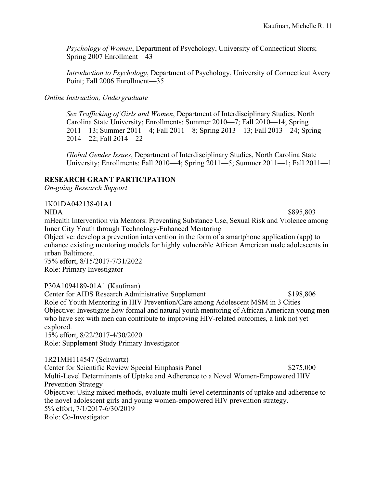*Psychology of Women*, Department of Psychology, University of Connecticut Storrs; Spring 2007 Enrollment—43

*Introduction to Psychology*, Department of Psychology, University of Connecticut Avery Point; Fall 2006 Enrollment—35

# *Online Instruction, Undergraduate*

*Sex Trafficking of Girls and Women*, Department of Interdisciplinary Studies, North Carolina State University; Enrollments: Summer 2010—7; Fall 2010—14; Spring 2011—13; Summer 2011—4; Fall 2011—8; Spring 2013—13; Fall 2013—24; Spring 2014—22; Fall 2014—22

*Global Gender Issues*, Department of Interdisciplinary Studies, North Carolina State University; Enrollments: Fall 2010—4; Spring 2011—5; Summer 2011—1; Fall 2011—1

# **RESEARCH GRANT PARTICIPATION**

*On-going Research Support*

1K01DA042138-01A1

NIDA \$895,803

mHealth Intervention via Mentors: Preventing Substance Use, Sexual Risk and Violence among Inner City Youth through Technology-Enhanced Mentoring

Objective: develop a prevention intervention in the form of a smartphone application (app) to enhance existing mentoring models for highly vulnerable African American male adolescents in urban Baltimore.

75% effort, 8/15/2017-7/31/2022 Role: Primary Investigator

P30A1094189-01A1 (Kaufman)

Center for AIDS Research Administrative Supplement \$198,806 Role of Youth Mentoring in HIV Prevention/Care among Adolescent MSM in 3 Cities Objective: Investigate how formal and natural youth mentoring of African American young men who have sex with men can contribute to improving HIV-related outcomes, a link not yet explored. 15% effort, 8/22/2017-4/30/2020

Role: Supplement Study Primary Investigator

1R21MH114547 (Schwartz) Center for Scientific Review Special Emphasis Panel \$275,000 Multi-Level Determinants of Uptake and Adherence to a Novel Women-Empowered HIV Prevention Strategy Objective: Using mixed methods, evaluate multi-level determinants of uptake and adherence to the novel adolescent girls and young women-empowered HIV prevention strategy. 5% effort, 7/1/2017-6/30/2019 Role: Co-Investigator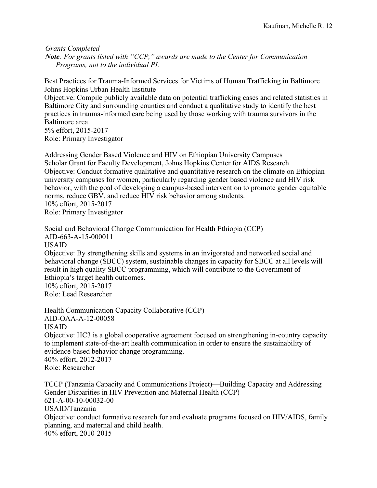*Grants Completed Note: For grants listed with "CCP," awards are made to the Center for Communication Programs, not to the individual PI.* 

Best Practices for Trauma-Informed Services for Victims of Human Trafficking in Baltimore Johns Hopkins Urban Health Institute Objective: Compile publicly available data on potential trafficking cases and related statistics in Baltimore City and surrounding counties and conduct a qualitative study to identify the best practices in trauma-informed care being used by those working with trauma survivors in the Baltimore area. 5% effort, 2015-2017 Role: Primary Investigator

Addressing Gender Based Violence and HIV on Ethiopian University Campuses Scholar Grant for Faculty Development, Johns Hopkins Center for AIDS Research Objective: Conduct formative qualitative and quantitative research on the climate on Ethiopian university campuses for women, particularly regarding gender based violence and HIV risk behavior, with the goal of developing a campus-based intervention to promote gender equitable norms, reduce GBV, and reduce HIV risk behavior among students. 10% effort, 2015-2017 Role: Primary Investigator

Social and Behavioral Change Communication for Health Ethiopia (CCP) AID-663-A-15-000011 USAID Objective: By strengthening skills and systems in an invigorated and networked social and behavioral change (SBCC) system, sustainable changes in capacity for SBCC at all levels will result in high quality SBCC programming, which will contribute to the Government of Ethiopia's target health outcomes. 10% effort, 2015-2017 Role: Lead Researcher

Health Communication Capacity Collaborative (CCP) AID-OAA-A-12-00058 USAID Objective: HC3 is a global cooperative agreement focused on strengthening in-country capacity to implement state-of-the-art health communication in order to ensure the sustainability of evidence-based behavior change programming. 40% effort, 2012-2017 Role: Researcher

TCCP (Tanzania Capacity and Communications Project)—Building Capacity and Addressing Gender Disparities in HIV Prevention and Maternal Health (CCP) 621-A-00-10-00032-00 USAID/Tanzania Objective: conduct formative research for and evaluate programs focused on HIV/AIDS, family planning, and maternal and child health. 40% effort, 2010-2015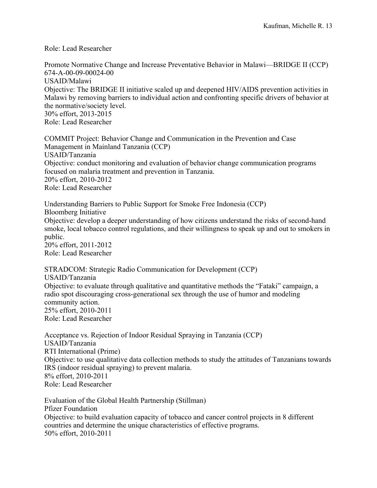Role: Lead Researcher

Promote Normative Change and Increase Preventative Behavior in Malawi—BRIDGE II (CCP) 674-A-00-09-00024-00 USAID/Malawi Objective: The BRIDGE II initiative scaled up and deepened HIV/AIDS prevention activities in Malawi by removing barriers to individual action and confronting specific drivers of behavior at the normative/society level. 30% effort, 2013-2015 Role: Lead Researcher

COMMIT Project: Behavior Change and Communication in the Prevention and Case Management in Mainland Tanzania (CCP) USAID/Tanzania Objective: conduct monitoring and evaluation of behavior change communication programs focused on malaria treatment and prevention in Tanzania. 20% effort, 2010-2012 Role: Lead Researcher

Understanding Barriers to Public Support for Smoke Free Indonesia (CCP) Bloomberg Initiative Objective: develop a deeper understanding of how citizens understand the risks of second-hand smoke, local tobacco control regulations, and their willingness to speak up and out to smokers in public. 20% effort, 2011-2012 Role: Lead Researcher

STRADCOM: Strategic Radio Communication for Development (CCP) USAID/Tanzania Objective: to evaluate through qualitative and quantitative methods the "Fataki" campaign, a radio spot discouraging cross-generational sex through the use of humor and modeling community action. 25% effort, 2010-2011 Role: Lead Researcher

Acceptance vs. Rejection of Indoor Residual Spraying in Tanzania (CCP) USAID/Tanzania RTI International (Prime) Objective: to use qualitative data collection methods to study the attitudes of Tanzanians towards IRS (indoor residual spraying) to prevent malaria. 8% effort, 2010-2011 Role: Lead Researcher

Evaluation of the Global Health Partnership (Stillman) Pfizer Foundation Objective: to build evaluation capacity of tobacco and cancer control projects in 8 different countries and determine the unique characteristics of effective programs. 50% effort, 2010-2011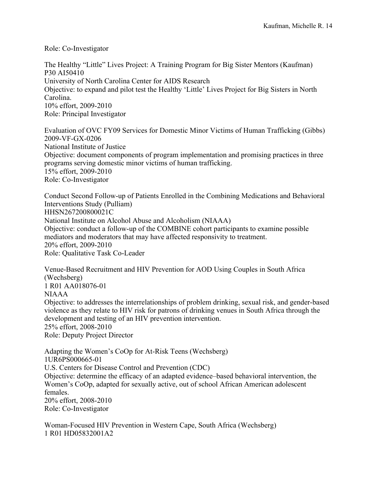Role: Co-Investigator

The Healthy "Little" Lives Project: A Training Program for Big Sister Mentors (Kaufman) P30 AI50410 University of North Carolina Center for AIDS Research Objective: to expand and pilot test the Healthy 'Little' Lives Project for Big Sisters in North Carolina. 10% effort, 2009-2010 Role: Principal Investigator

Evaluation of OVC FY09 Services for Domestic Minor Victims of Human Trafficking (Gibbs) 2009-VF-GX-0206 National Institute of Justice Objective: document components of program implementation and promising practices in three programs serving domestic minor victims of human trafficking. 15% effort, 2009-2010 Role: Co-Investigator

Conduct Second Follow-up of Patients Enrolled in the Combining Medications and Behavioral Interventions Study (Pulliam) HHSN267200800021C National Institute on Alcohol Abuse and Alcoholism (NIAAA) Objective: conduct a follow-up of the COMBINE cohort participants to examine possible mediators and moderators that may have affected responsivity to treatment. 20% effort, 2009-2010 Role: Qualitative Task Co-Leader

Venue-Based Recruitment and HIV Prevention for AOD Using Couples in South Africa (Wechsberg) 1 R01 AA018076-01 NIAAA Objective: to addresses the interrelationships of problem drinking, sexual risk, and gender-based violence as they relate to HIV risk for patrons of drinking venues in South Africa through the development and testing of an HIV prevention intervention. 25% effort, 2008-2010 Role: Deputy Project Director

Adapting the Women's CoOp for At-Risk Teens (Wechsberg) 1UR6PS000665-01 U.S. Centers for Disease Control and Prevention (CDC) Objective: determine the efficacy of an adapted evidence–based behavioral intervention, the Women's CoOp, adapted for sexually active, out of school African American adolescent females. 20% effort, 2008-2010 Role: Co-Investigator

Woman-Focused HIV Prevention in Western Cape, South Africa (Wechsberg) 1 R01 HD05832001A2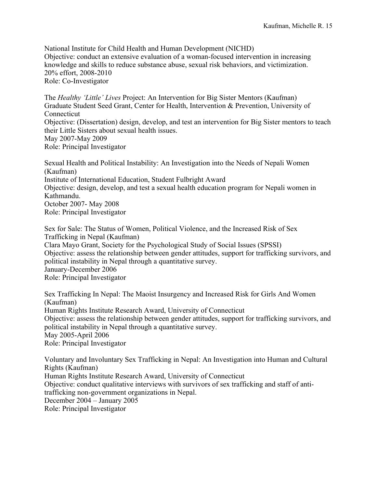National Institute for Child Health and Human Development (NICHD) Objective: conduct an extensive evaluation of a woman-focused intervention in increasing knowledge and skills to reduce substance abuse, sexual risk behaviors, and victimization. 20% effort, 2008-2010 Role: Co-Investigator

The *Healthy 'Little' Lives* Project: An Intervention for Big Sister Mentors (Kaufman) Graduate Student Seed Grant, Center for Health, Intervention & Prevention, University of Connecticut Objective: (Dissertation) design, develop, and test an intervention for Big Sister mentors to teach their Little Sisters about sexual health issues. May 2007-May 2009 Role: Principal Investigator

Sexual Health and Political Instability: An Investigation into the Needs of Nepali Women (Kaufman) Institute of International Education, Student Fulbright Award Objective: design, develop, and test a sexual health education program for Nepali women in Kathmandu. October 2007- May 2008 Role: Principal Investigator

Sex for Sale: The Status of Women, Political Violence, and the Increased Risk of Sex Trafficking in Nepal (Kaufman) Clara Mayo Grant, Society for the Psychological Study of Social Issues (SPSSI) Objective: assess the relationship between gender attitudes, support for trafficking survivors, and political instability in Nepal through a quantitative survey. January-December 2006 Role: Principal Investigator

Sex Trafficking In Nepal: The Maoist Insurgency and Increased Risk for Girls And Women (Kaufman) Human Rights Institute Research Award, University of Connecticut Objective: assess the relationship between gender attitudes, support for trafficking survivors, and political instability in Nepal through a quantitative survey. May 2005-April 2006 Role: Principal Investigator

Voluntary and Involuntary Sex Trafficking in Nepal: An Investigation into Human and Cultural Rights (Kaufman) Human Rights Institute Research Award, University of Connecticut Objective: conduct qualitative interviews with survivors of sex trafficking and staff of antitrafficking non-government organizations in Nepal. December 2004 – January 2005 Role: Principal Investigator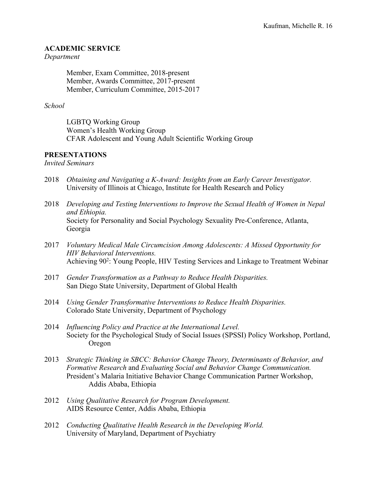# **ACADEMIC SERVICE**

## *Department*

Member, Exam Committee, 2018-present Member, Awards Committee, 2017-present Member, Curriculum Committee, 2015-2017

# *School*

LGBTQ Working Group Women's Health Working Group CFAR Adolescent and Young Adult Scientific Working Group

# **PRESENTATIONS**

*Invited Seminars*

- 2018 *Obtaining and Navigating a K-Award: Insights from an Early Career Investigator.* University of Illinois at Chicago, Institute for Health Research and Policy
- 2018 *Developing and Testing Interventions to Improve the Sexual Health of Women in Nepal and Ethiopia.* Society for Personality and Social Psychology Sexuality Pre-Conference, Atlanta, Georgia
- 2017 *Voluntary Medical Male Circumcision Among Adolescents: A Missed Opportunity for HIV Behavioral Interventions.*  Achieving 90<sup>2</sup>: Young People, HIV Testing Services and Linkage to Treatment Webinar
- 2017 *Gender Transformation as a Pathway to Reduce Health Disparities.* San Diego State University, Department of Global Health
- 2014 *Using Gender Transformative Interventions to Reduce Health Disparities.*  Colorado State University, Department of Psychology
- 2014 *Influencing Policy and Practice at the International Level.*  Society for the Psychological Study of Social Issues (SPSSI) Policy Workshop, Portland, Oregon
- 2013 *Strategic Thinking in SBCC: Behavior Change Theory, Determinants of Behavior, and Formative Research* and *Evaluating Social and Behavior Change Communication.*  President's Malaria Initiative Behavior Change Communication Partner Workshop, Addis Ababa, Ethiopia
- 2012 *Using Qualitative Research for Program Development.*  AIDS Resource Center, Addis Ababa, Ethiopia
- 2012 *Conducting Qualitative Health Research in the Developing World.*  University of Maryland, Department of Psychiatry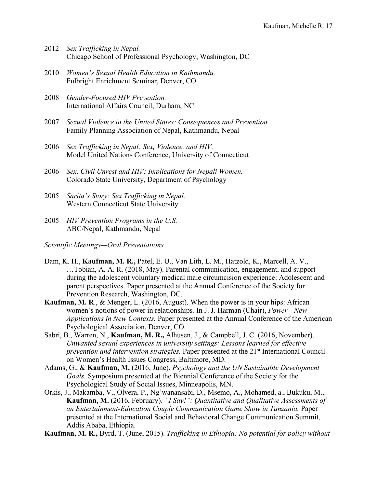- 2012 *Sex Trafficking in Nepal.*  Chicago School of Professional Psychology, Washington, DC
- 2010 *Women's Sexual Health Education in Kathmandu.*  Fulbright Enrichment Seminar, Denver, CO
- 2008 *Gender-Focused HIV Prevention.*  International Affairs Council, Durham, NC
- 2007 *Sexual Violence in the United States: Consequences and Prevention.*  Family Planning Association of Nepal, Kathmandu, Nepal
- 2006 *Sex Trafficking in Nepal: Sex, Violence, and HIV.*  Model United Nations Conference, University of Connecticut
- 2006 *Sex, Civil Unrest and HIV: Implications for Nepali Women.*  Colorado State University, Department of Psychology
- 2005 *Sarita's Story: Sex Trafficking in Nepal.*  Western Connecticut State University
- 2005 *HIV Prevention Programs in the U.S.*  ABC/Nepal, Kathmandu, Nepal
- *Scientific Meetings—Oral Presentations*
- Dam, K. H., **Kaufman, M. R.,** Patel, E. U., Van Lith, L. M., Hatzold, K., Marcell, A. V., …Tobian, A. A. R. (2018, May). Parental communication, engagement, and support during the adolescent voluntary medical male circumcision experience: Adolescent and parent perspectives. Paper presented at the Annual Conference of the Society for Prevention Research, Washington, DC.
- **Kaufman, M. R**., & Menger, L. (2016, August). When the power is in your hips: African women's notions of power in relationships*.* In J. J. Harman (Chair), *Power—New Applications in New Contexts.* Paper presented at the Annual Conference of the American Psychological Association, Denver, CO.
- Sabri, B., Warren, N., **Kaufman, M. R.,** Alhusen, J., & Campbell, J. C. (2016, November). *Unwanted sexual experiences in university settings: Lessons learned for effective prevention and intervention strategies.* Paper presented at the 21<sup>st</sup> International Council on Women's Health Issues Congress, Baltimore, MD.
- Adams, G., & **Kaufman, M.** (2016, June). *Psychology and the UN Sustainable Development Goals.* Symposium presented at the Biennial Conference of the Society for the Psychological Study of Social Issues, Minneapolis, MN.
- Orkis, J., Makamba, V., Olvera, P., Ng'wanansabi, D., Msemo, A., Mohamed, a., Bukuku, M., **Kaufman, M.** (2016, February). *"I Say!": Quantitative and Qualitative Assessments of an Entertainment-Education Couple Communication Game Show in Tanzania.* Paper presented at the International Social and Behavioral Change Communication Summit, Addis Ababa, Ethiopia.
- **Kaufman, M. R.,** Byrd, T. (June, 2015). *Trafficking in Ethiopia: No potential for policy without*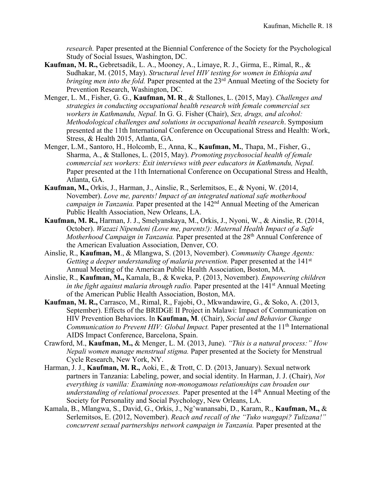*research.* Paper presented at the Biennial Conference of the Society for the Psychological Study of Social Issues, Washington, DC.

- **Kaufman, M. R.,** Gebretsadik, L. A., Mooney, A., Limaye, R. J., Girma, E., Rimal, R., & Sudhakar, M. (2015, May). *Structural level HIV testing for women in Ethiopia and bringing men into the fold.* Paper presented at the 23<sup>rd</sup> Annual Meeting of the Society for Prevention Research, Washington, DC.
- Menger, L. M., Fisher, G. G., **Kaufman, M. R**., & Stallones, L. (2015, May). *Challenges and strategies in conducting occupational health research with female commercial sex workers in Kathmandu, Nepal.* In G. G. Fisher (Chair), *Sex, drugs, and alcohol: Methodological challenges and solutions in occupational health research*. Symposium presented at the 11th International Conference on Occupational Stress and Health: Work, Stress, & Health 2015, Atlanta, GA.
- Menger, L.M., Santoro, H., Holcomb, E., Anna, K., **Kaufman, M.**, Thapa, M., Fisher, G., Sharma, A., & Stallones, L. (2015, May). *Promoting psychosocial health of female commercial sex workers: Exit interviews with peer educators in Kathmandu, Nepal.*  Paper presented at the 11th International Conference on Occupational Stress and Health, Atlanta, GA.
- **Kaufman, M.,** Orkis, J., Harman, J., Ainslie, R., Serlemitsos, E., & Nyoni, W. (2014, November). *Love me, parents! Impact of an integrated national safe motherhood campaign in Tanzania.* Paper presented at the 142nd Annual Meeting of the American Public Health Association, New Orleans, LA.
- **Kaufman, M. R.,** Harman, J. J., Smelyanskaya, M., Orkis, J., Nyoni, W., & Ainslie, R. (2014, October). *Wazazi Nipendeni (Love me, parents!): Maternal Health Impact of a Safe Motherhood Campaign in Tanzania.* Paper presented at the 28<sup>th</sup> Annual Conference of the American Evaluation Association, Denver, CO.
- Ainslie, R., **Kaufman, M**., & Mlangwa, S. (2013, November). *Community Change Agents: Getting a deeper understanding of malaria prevention.* Paper presented at the 141<sup>st</sup> Annual Meeting of the American Public Health Association, Boston, MA.
- Ainslie, R., **Kaufman, M.,** Kamala, B., & Kweka, P. (2013, November). *Empowering children in the fight against malaria through radio.* Paper presented at the 141<sup>st</sup> Annual Meeting of the American Public Health Association, Boston, MA.
- **Kaufman, M. R.,** Carrasco, M., Rimal, R., Fajobi, O., Mkwandawire, G., & Soko, A. (2013, September). Effects of the BRIDGE II Project in Malawi: Impact of Communication on HIV Prevention Behaviors. In **Kaufman, M**. (Chair), *Social and Behavior Change Communication to Prevent HIV: Global Impact.* Paper presented at the 11<sup>th</sup> International AIDS Impact Conference, Barcelona, Spain.
- Crawford, M., **Kaufman, M.,** & Menger, L. M. (2013, June). *"This is a natural process:" How Nepali women manage menstrual stigma.* Paper presented at the Society for Menstrual Cycle Research, New York, NY.
- Harman, J. J., **Kaufman, M. R.,** Aoki, E., & Trott, C. D. (2013, January). Sexual network partners in Tanzania: Labeling, power, and social identity. In Harman, J. J. (Chair), *Not everything is vanilla: Examining non-monogamous relationships can broaden our understanding of relational processes.* Paper presented at the 14th Annual Meeting of the Society for Personality and Social Psychology, New Orleans, LA.
- Kamala, B., Mlangwa, S., David, G., Orkis, J., Ng'wanansabi, D., Karam, R., **Kaufman, M.,** & Serlemitsos, E. (2012, November). *Reach and recall of the "Tuko wangapi? Tulizana!" concurrent sexual partnerships network campaign in Tanzania.* Paper presented at the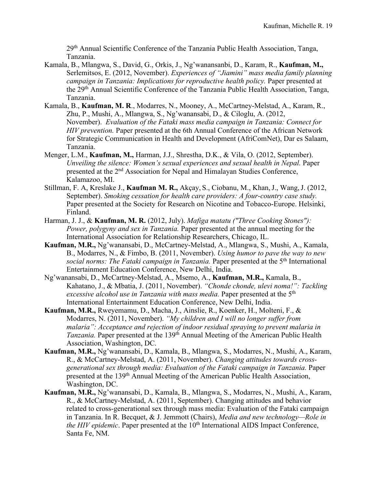29th Annual Scientific Conference of the Tanzania Public Health Association, Tanga, Tanzania.

- Kamala, B., Mlangwa, S., David, G., Orkis, J., Ng'wanansanbi, D., Karam, R., **Kaufman, M.,**  Serlemitsos, E. (2012, November). *Experiences of "Jiamini" mass media family planning campaign in Tanzania: Implications for reproductive health policy.* Paper presented at the 29th Annual Scientific Conference of the Tanzania Public Health Association, Tanga, Tanzania.
- Kamala, B., **Kaufman, M. R**., Modarres, N., Mooney, A., McCartney-Melstad, A., Karam, R., Zhu, P., Mushi, A., Mlangwa, S., Ng'wanansabi, D., & Ciloglu, A. (2012, November). *Evaluation of the Fataki mass media campaign in Tanzania: Connect for HIV prevention.* Paper presented at the 6th Annual Conference of the African Network for Strategic Communication in Health and Development (AfriComNet), Dar es Salaam, Tanzania.
- Menger, L.M., **Kaufman, M.,** Harman, J.J., Shrestha, D.K., & Vila, O. (2012, September). *Unveiling the silence: Women's sexual experiences and sexual health in Nepal. Paper* presented at the 2<sup>nd</sup> Association for Nepal and Himalayan Studies Conference, Kalamazoo, MI.
- Stillman, F. A, Kreslake J., **Kaufman M. R.,** Akçay, S., Ciobanu, M., Khan,J., Wang,J. (2012, September). *Smoking cessation for health care providers: A four-country case study.* Paper presented at the Society for Research on Nicotine and Tobacco-Europe. Helsinki, Finland.
- Harman, J. J., & **Kaufman, M. R.** (2012, July). *Mafiga matatu ("Three Cooking Stones"): Power, polygyny and sex in Tanzania.* Paper presented at the annual meeting for the International Association for Relationship Researchers, Chicago, IL.
- **Kaufman, M.R.,** Ng'wanansabi, D., McCartney-Melstad, A., Mlangwa, S., Mushi, A., Kamala, B., Modarres, N., & Fimbo, B. (2011, November). *Using humor to pave the way to new*  social norms: The Fataki campaign in Tanzania. Paper presented at the 5<sup>th</sup> International Entertainment Education Conference, New Delhi, India.
- Ng'wanansabi, D., McCartney-Melstad, A., Msemo, A., **Kaufman, M.R.,** Kamala, B., Kahatano, J., & Mbatia, J. (2011, November). *"Chonde chonde, ulevi noma!": Tackling excessive alcohol use in Tanzania with mass media.* Paper presented at the 5<sup>th</sup> International Entertainment Education Conference, New Delhi, India.
- **Kaufman, M.R.,** Rweyemamu, D., Macha, J., Ainslie, R., Koenker, H., Molteni, F., & Modarres, N. (2011, November). *"My children and I will no longer suffer from malaria": Acceptance and rejection of indoor residual spraying to prevent malaria in Tanzania.* Paper presented at the 139th Annual Meeting of the American Public Health Association, Washington, DC.
- **Kaufman, M.R.,** Ng'wanansabi, D., Kamala, B., Mlangwa, S., Modarres, N., Mushi, A., Karam, R., & McCartney-Melstad, A. (2011, November). *Changing attitudes towards crossgenerational sex through media: Evaluation of the Fataki campaign in Tanzania.* Paper presented at the 139th Annual Meeting of the American Public Health Association, Washington, DC.
- **Kaufman, M.R.,** Ng'wanansabi, D., Kamala, B., Mlangwa, S., Modarres, N., Mushi, A., Karam, R., & McCartney-Melstad, A. (2011, September). Changing attitudes and behavior related to cross-generational sex through mass media: Evaluation of the Fataki campaign in Tanzania. In R. Becquet, & J. Jemmott (Chairs), *Media and new technology—Role in the HIV epidemic*. Paper presented at the 10<sup>th</sup> International AIDS Impact Conference, Santa Fe, NM.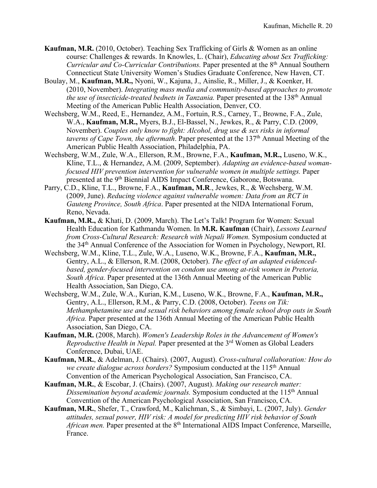- **Kaufman, M.R.** (2010, October). Teaching Sex Trafficking of Girls & Women as an online course: Challenges & rewards. In Knowles, L. (Chair), *Educating about Sex Trafficking: Curricular and Co-Curricular Contributions.* Paper presented at the 8<sup>th</sup> Annual Southern Connecticut State University Women's Studies Graduate Conference, New Haven, CT.
- Boulay, M., **Kaufman, M.R.,** Nyoni, W., Kajuna, J., Ainslie, R., Miller, J., & Koenker, H. (2010, November). *Integrating mass media and community-based approaches to promote the use of insecticide-treated bednets in Tanzania.* Paper presented at the 138<sup>th</sup> Annual Meeting of the American Public Health Association, Denver, CO.
- Wechsberg, W.M., Reed, E., Hernandez, A.M., Fortuin, R.S., Carney, T., Browne, F.A., Zule, W.A., **Kaufman, M.R.,** Myers, B.J., El-Bassel, N., Jewkes, R., & Parry, C.D. (2009, November). *Couples only know to fight: Alcohol, drug use & sex risks in informal taverns of Cape Town, the aftermath.* Paper presented at the 137<sup>th</sup> Annual Meeting of the American Public Health Association, Philadelphia, PA.
- Wechsberg, W.M., Zule, W.A., Ellerson, R.M., Browne, F.A., **Kaufman, M.R.,** Luseno, W.K., Kline, T.L., & Hernandez, A.M. (2009, September). *Adapting an evidence-based womanfocused HIV prevention intervention for vulnerable women in multiple settings.* Paper presented at the 9<sup>th</sup> Biennial AIDS Impact Conference, Gaborone, Botswana.
- Parry, C.D., Kline, T.L., Browne, F.A., **Kaufman, M.R**., Jewkes, R., & Wechsberg, W.M. (2009, June). *Reducing violence against vulnerable women: Data from an RCT in Gauteng Province, South Africa*. Paper presented at the NIDA International Forum, Reno, Nevada.
- **Kaufman, M.R.,** & Khati, D. (2009, March). The Let's Talk! Program for Women: Sexual Health Education for Kathmandu Women. In **M.R. Kaufman** (Chair), *Lessons Learned from Cross-Cultural Research: Research with Nepali Women. Symposium conducted at* the 34th Annual Conference of the Association for Women in Psychology, Newport, RI.
- Wechsberg, W.M., Kline, T.L., Zule, W.A., Luseno, W.K., Browne, F.A., **Kaufman, M.R.,**  Gentry, A.L., & Ellerson, R.M. (2008, October). *The effect of an adapted evidencedbased, gender-focused intervention on condom use among at-risk women in Pretoria, South Africa.* Paper presented at the 136th Annual Meeting of the American Public Health Association, San Diego, CA.
- Wechsberg, W.M., Zule, W.A., Kurian, K.M., Luseno, W.K., Browne, F.A., **Kaufman, M.R.,**  Gentry, A.L., Ellerson, R.M., & Parry, C.D. (2008, October). *Teens on Tik: Methamphetamine use and sexual risk behaviors among female school drop outs in South Africa.* Paper presented at the 136th Annual Meeting of the American Public Health Association, San Diego, CA.
- **Kaufman, M.R.** (2008, March). *Women's Leadership Roles in the Advancement of Women's Reproductive Health in Nepal.* Paper presented at the 3rd Women as Global Leaders Conference, Dubai, UAE.
- **Kaufman, M.R.**, & Adelman, J. (Chairs). (2007, August). *Cross-cultural collaboration: How do we create dialogue across borders?* Symposium conducted at the 115th Annual Convention of the American Psychological Association, San Francisco, CA.
- **Kaufman, M.R.**, & Escobar, J. (Chairs). (2007, August). *Making our research matter: Dissemination beyond academic journals.* Symposium conducted at the 115<sup>th</sup> Annual Convention of the American Psychological Association, San Francisco, CA.
- **Kaufman, M.R.**, Shefer, T., Crawford, M., Kalichman, S., & Simbayi, L. (2007, July). *Gender attitudes, sexual power, HIV risk: A model for predicting HIV risk behavior of South African men.* Paper presented at the 8<sup>th</sup> International AIDS Impact Conference, Marseille, France.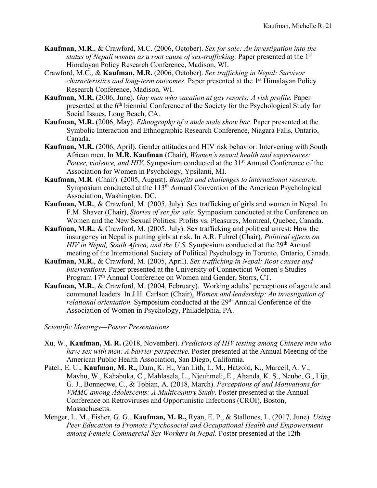- **Kaufman, M.R.**, & Crawford, M.C. (2006, October). *Sex for sale: An investigation into the status of Nepali women as a root cause of sex-trafficking.* Paper presented at the 1<sup>st</sup> Himalayan Policy Research Conference, Madison, WI.
- Crawford, M.C., & **Kaufman, M.R.** (2006, October). *Sex trafficking in Nepal: Survivor characteristics and long-term outcomes.* Paper presented at the 1<sup>st</sup> Himalayan Policy Research Conference, Madison, WI.
- **Kaufman, M.R.** (2006, June). *Gay men who vacation at gay resorts: A risk profile.* Paper presented at the 6<sup>th</sup> biennial Conference of the Society for the Psychological Study for Social Issues, Long Beach, CA.
- **Kaufman, M.R.** (2006, May). *Ethnography of a nude male show bar.* Paper presented at the Symbolic Interaction and Ethnographic Research Conference, Niagara Falls, Ontario, Canada.
- **Kaufman, M.R.** (2006, April). Gender attitudes and HIV risk behavior: Intervening with South African men. In **M.R. Kaufman** (Chair), *Women's sexual health and experiences: Power, violence, and HIV.* Symposium conducted at the 31<sup>st</sup> Annual Conference of the Association for Women in Psychology, Ypsilanti, MI.
- **Kaufman, M.R**. (Chair). (2005, August). *Benefits and challenges to international research*. Symposium conducted at the 113<sup>th</sup> Annual Convention of the American Psychological Association, Washington, DC.
- **Kaufman, M.R.**, & Crawford, M. (2005, July). Sex trafficking of girls and women in Nepal. In F.M. Shaver (Chair), *Stories of sex for sale.* Symposium conducted at the Conference on Women and the New Sexual Politics: Profits vs. Pleasures, Montreal, Quebec, Canada.
- **Kaufman, M.R.**, & Crawford, M. (2005, July). Sex trafficking and political unrest: How the insurgency in Nepal is putting girls at risk. In A.R. Fuhrel (Chair), *Political effects on HIV in Nepal, South Africa, and the U.S.* Symposium conducted at the 29th Annual meeting of the International Society of Political Psychology in Toronto, Ontario, Canada.
- **Kaufman, M.R.**, & Crawford, M. (2005, April). *Sex trafficking in Nepal: Root causes and interventions.* Paper presented at the University of Connecticut Women's Studies Program 17<sup>th</sup> Annual Conference on Women and Gender, Storrs, CT.
- **Kaufman, M.R.**, & Crawford, M. (2004, February). Working adults' perceptions of agentic and communal leaders*.* In J.H. Carlson (Chair), *Women and leadership: An investigation of relational orientation.* Symposium conducted at the 29<sup>th</sup> Annual Conference of the Association of Women in Psychology, Philadelphia, PA.

*Scientific Meetings—Poster Presentations*

- Xu, W., **Kaufman, M. R.** (2018, November). *Predictors of HIV testing among Chinese men who have sex with men: A barrier perspective.* Poster presented at the Annual Meeting of the American Public Health Association, San Diego, California.
- Patel., E. U., **Kaufman, M. R.,** Dam, K. H., Van Lith, L. M., Hatzold, K., Marcell, A. V., Mavhu, W., Kahabuka, C., Mahlasela, L., Njeuhmeli, E., Ahanda, K. S., Ncube, G., Lija, G. J., Bonnecwe, C., & Tobian, A. (2018, March). *Perceptions of and Motivations for VMMC among Adolescents: A Multicountry Study.* Poster presented at the Annual Conference on Retroviruses and Opportunistic Infections (CROI), Boston, Massachusetts.
- Menger, L. M., Fisher, G. G., **Kaufman, M. R.,** Ryan, E. P., & Stallones, L. (2017, June). *Using Peer Education to Promote Psychosocial and Occupational Health and Empowerment among Female Commercial Sex Workers in Nepal.* Poster presented at the 12th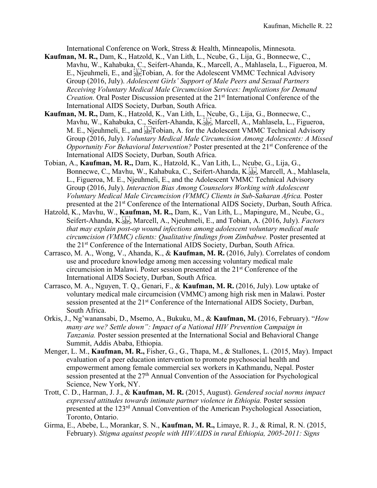International Conference on Work, Stress & Health, Minneapolis, Minnesota.

- **Kaufman, M. R.,** Dam, K., Hatzold, K., Van Lith, L., Ncube, G., Lija, G., Bonnecwe, C., Mavhu, W., Kahabuka, C., Seifert-Ahanda, K., Marcell, A., Mahlasela, L., Figueroa, M. E., Njeuhmeli, E., and <u>steral bridge</u>, A. for the Adolescent VMMC Technical Advisory Group (2016, July). *Adolescent Girls' Support of Male Peers and Sexual Partners Receiving Voluntary Medical Male Circumcision Services: Implications for Demand Creation.* Oral Poster Discussion presented at the 21<sup>st</sup> International Conference of the International AIDS Society, Durban, South Africa.
- **Kaufman, M. R.,** Dam, K., Hatzold, K., Van Lith, L., Ncube, G., Lija, G., Bonnecwe, C., Mavhu, W., Kahabuka, C., Seifert-Ahanda, K.<sup>177</sup>, Marcell, A., Mahlasela, L., Figueroa, M. E., Njeuhmeli, E., and **Fr** Tobian, A. for the Adolescent VMMC Technical Advisory Group (2016, July). *Voluntary Medical Male Circumcision Among Adolescents: A Missed Opportunity For Behavioral Intervention?* Poster presented at the 21<sup>st</sup> Conference of the International AIDS Society, Durban, South Africa.
- Tobian, A., **Kaufman, M. R.,** Dam, K., Hatzold, K., Van Lith, L., Ncube, G., Lija, G., Bonnecwe, C., Mavhu, W., Kahabuka, C., Seifert-Ahanda, K. Sterg, Marcell, A., Mahlasela, L., Figueroa, M. E., Njeuhmeli, E., and the Adolescent VMMC Technical Advisory Group (2016, July). *Interaction Bias Among Counselors Working with Adolescent Voluntary Medical Male Circumcision (VMMC) Clients in Sub-Saharan Africa.* Poster presented at the 21st Conference of the International AIDS Society, Durban, South Africa.
- Hatzold, K., Mavhu, W., **Kaufman, M. R.,** Dam, K., Van Lith, L., Mapingure, M., Ncube, G., Seifert-Ahanda, K.<sup>[17]</sup>, Marcell, A., Njeuhmeli, E., and Tobian, A. (2016, July). *Factors that may explain post-op wound infections among adolescent voluntary medical male circumcision (VMMC) clients: Qualitative findings from Zimbabwe.* Poster presented at the 21st Conference of the International AIDS Society, Durban, South Africa.
- Carrasco, M. A., Wong, V., Ahanda, K., & **Kaufman, M. R.** (2016, July). Correlates of condom use and procedure knowledge among men accessing voluntary medical male circumcision in Malawi. Poster session presented at the 21st Conference of the International AIDS Society, Durban, South Africa.
- Carrasco, M. A., Nguyen, T. Q., Genari, F., & **Kaufman, M. R.** (2016, July). Low uptake of voluntary medical male circumcision (VMMC) among high risk men in Malawi. Poster session presented at the 21<sup>st</sup> Conference of the International AIDS Society, Durban, South Africa.
- Orkis, J., Ng'wanansabi, D., Msemo, A., Bukuku, M., & **Kaufman, M.** (2016, February). "*How many are we? Settle down": Impact of a National HIV Prevention Campaign in Tanzania.* Poster session presented at the International Social and Behavioral Change Summit, Addis Ababa, Ethiopia.
- Menger, L. M., **Kaufman, M. R.,** Fisher, G., G., Thapa, M., & Stallones, L. (2015, May). Impact evaluation of a peer education intervention to promote psychosocial health and empowerment among female commercial sex workers in Kathmandu, Nepal. Poster session presented at the 27<sup>th</sup> Annual Convention of the Association for Psychological Science, New York, NY.
- Trott, C. D., Harman, J. J., & **Kaufman, M. R.** (2015, August). *Gendered social norms impact expressed attitudes towards intimate partner violence in Ethiopia.* Poster session presented at the 123rd Annual Convention of the American Psychological Association, Toronto, Ontario.
- Girma, E., Abebe, L., Morankar, S. N., **Kaufman, M. R.,** Limaye, R. J., & Rimal, R. N. (2015, February). *Stigma against people with HIV/AIDS in rural Ethiopia, 2005-2011: Signs*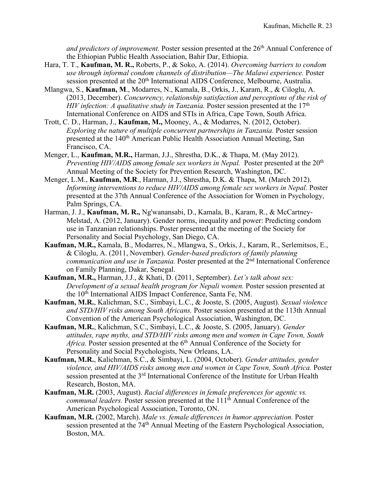*and predictors of improvement.* Poster session presented at the 26th Annual Conference of the Ethiopian Public Health Association, Bahir Dar, Ethiopia.

- Hara, T. T., **Kaufman, M. R.,** Roberts, P., & Soko, A. (2014). *Overcoming barriers to condom use through informal condom channels of distribution—The Malawi experience.* Poster session presented at the 20<sup>th</sup> International AIDS Conference, Melbourne, Australia.
- Mlangwa, S., **Kaufman, M**., Modarres, N., Kamala, B., Orkis, J., Karam, R., & Ciloglu, A. (2013, December). *Concurrency, relationship satisfaction and perceptions of the risk of HIV infection: A qualitative study in Tanzania.* Poster session presented at the 17<sup>th</sup> International Conference on AIDS and STIs in Africa, Cape Town, South Africa.
- Trott, C. D., Harman, J., **Kaufman, M.,** Mooney, A., & Modarres, N. (2012, October). *Exploring the nature of multiple concurrent partnerships in Tanzania.* Poster session presented at the 140th American Public Health Association Annual Meeting, San Francisco, CA.
- Menger, L., **Kaufman, M.R.,** Harman, J.J., Shrestha, D.K., & Thapa, M. (May 2012). *Preventing HIV/AIDS among female sex workers in Nepal.* Poster presented at the 20<sup>th</sup> Annual Meeting of the Society for Prevention Research, Washington, DC.
- Menger, L.M., **Kaufman, M.R**., Harman, J.J., Shrestha, D.K. & Thapa, M. (March 2012). *Informing interventions to reduce HIV/AIDS among female sex workers in Nepal.* Poster presented at the 37th Annual Conference of the Association for Women in Psychology, Palm Springs, CA.
- Harman, J. J., **Kaufman, M. R.,** Ng'wanansabi, D., Kamala, B., Karam, R., & McCartney-Melstad, A. (2012, January). Gender norms, inequality and power: Predicting condom use in Tanzanian relationships. Poster presented at the meeting of the Society for Personality and Social Psychology, San Diego, CA.
- **Kaufman, M.R.,** Kamala, B., Modarres, N., Mlangwa, S., Orkis, J., Karam, R., Serlemitsos, E., & Ciloglu, A. (2011, November). *Gender-based predictors of family planning communication and use in Tanzania.* Poster presented at the 2nd International Conference on Family Planning, Dakar, Senegal.
- **Kaufman, M.R.,** Harman, J.J., & Khati, D. (2011, September). *Let's talk about sex: Development of a sexual health program for Nepali women.* Poster session presented at the 10<sup>th</sup> International AIDS Impact Conference, Santa Fe, NM.
- **Kaufman, M.R.**, Kalichman, S.C., Simbayi, L.C., & Jooste, S. (2005, August). *Sexual violence and STD/HIV risks among South Africans.* Poster session presented at the 113th Annual Convention of the American Psychological Association, Washington, DC.
- **Kaufman, M.R.**, Kalichman, S.C., Simbayi, L.C., & Jooste, S. (2005, January). *Gender attitudes, rape myths, and STD/HIV risks among men and women in Cape Town, South Africa.* Poster session presented at the 6<sup>th</sup> Annual Conference of the Society for Personality and Social Psychologists, New Orleans, LA.
- **Kaufman, M.R.**, Kalichman, S.C., & Simbayi, L. (2004, October). *Gender attitudes, gender violence, and HIV/AIDS risks among men and women in Cape Town, South Africa.* Poster session presented at the 3<sup>rd</sup> International Conference of the Institute for Urban Health Research, Boston, MA.
- **Kaufman, M.R.** (2003, August). *Racial differences in female preferences for agentic vs. communal leaders.* Poster session presented at the 111<sup>th</sup> Annual Conference of the American Psychological Association, Toronto, ON.
- **Kaufman, M.R.** (2002, March). *Male vs. female differences in humor appreciation.* Poster session presented at the 74<sup>th</sup> Annual Meeting of the Eastern Psychological Association, Boston, MA.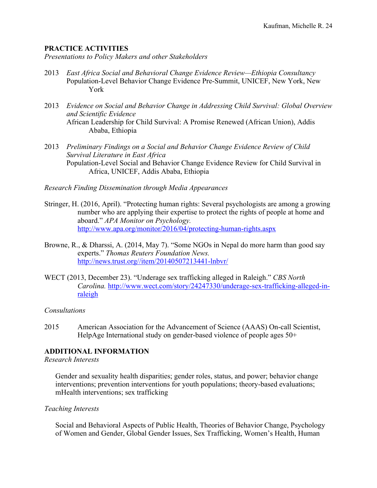# **PRACTICE ACTIVITIES**

*Presentations to Policy Makers and other Stakeholders*

- 2013 *East Africa Social and Behavioral Change Evidence Review—Ethiopia Consultancy* Population-Level Behavior Change Evidence Pre-Summit, UNICEF, New York, New York
- 2013 *Evidence on Social and Behavior Change in Addressing Child Survival: Global Overview and Scientific Evidence* African Leadership for Child Survival: A Promise Renewed (African Union), Addis Ababa, Ethiopia
- 2013 *Preliminary Findings on a Social and Behavior Change Evidence Review of Child Survival Literature in East Africa* Population-Level Social and Behavior Change Evidence Review for Child Survival in Africa, UNICEF, Addis Ababa, Ethiopia

*Research Finding Dissemination through Media Appearances*

- Stringer, H. (2016, April). "Protecting human rights: Several psychologists are among a growing number who are applying their expertise to protect the rights of people at home and aboard." *APA Monitor on Psychology.*  http://www.apa.org/monitor/2016/04/protecting-human-rights.aspx
- Browne, R., & Dharssi, A. (2014, May 7). "Some NGOs in Nepal do more harm than good say experts." *Thomas Reuters Foundation News.*  http://news.trust.org//item/20140507213441-lnbvr/
- WECT (2013, December 23). "Underage sex trafficking alleged in Raleigh." *CBS North Carolina.* http://www.wect.com/story/24247330/underage-sex-trafficking-alleged-inraleigh

### *Consultations*

2015 American Association for the Advancement of Science (AAAS) On-call Scientist, HelpAge International study on gender-based violence of people ages 50+

# **ADDITIONAL INFORMATION**

### *Research Interests*

Gender and sexuality health disparities; gender roles, status, and power; behavior change interventions; prevention interventions for youth populations; theory-based evaluations; mHealth interventions; sex trafficking

### *Teaching Interests*

Social and Behavioral Aspects of Public Health, Theories of Behavior Change, Psychology of Women and Gender, Global Gender Issues, Sex Trafficking, Women's Health, Human